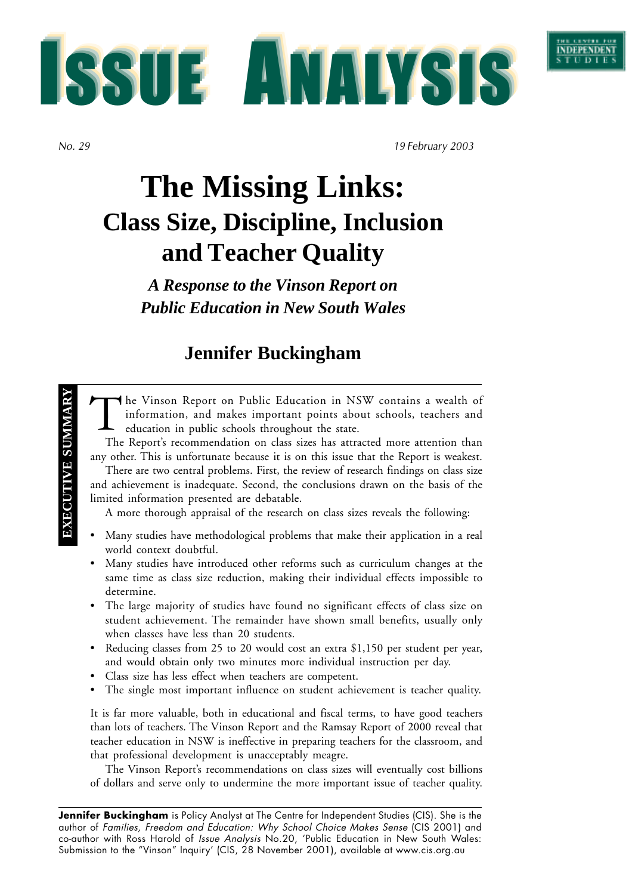



*No. 29 19 February 2003*

# **The Missing Links: Class Size, Discipline, Inclusion and Teacher Quality**

*A Response to the Vinson Report on Public Education in New South Wales*

# **Jennifer Buckingham**

 $\prod_{\text{The } }$ he Vinson Report on Public Education in NSW contains a wealth of information, and makes important points about schools, teachers and education in public schools throughout the state.

The Report's recommendation on class sizes has attracted more attention than any other. This is unfortunate because it is on this issue that the Report is weakest.

There are two central problems. First, the review of research findings on class size and achievement is inadequate. Second, the conclusions drawn on the basis of the limited information presented are debatable.

A more thorough appraisal of the research on class sizes reveals the following:

- Many studies have methodological problems that make their application in a real world context doubtful.
- Many studies have introduced other reforms such as curriculum changes at the same time as class size reduction, making their individual effects impossible to determine.
- The large majority of studies have found no significant effects of class size on student achievement. The remainder have shown small benefits, usually only when classes have less than 20 students.
- Reducing classes from 25 to 20 would cost an extra \$1,150 per student per year, and would obtain only two minutes more individual instruction per day.
- Class size has less effect when teachers are competent.
- The single most important influence on student achievement is teacher quality.

It is far more valuable, both in educational and fiscal terms, to have good teachers than lots of teachers. The Vinson Report and the Ramsay Report of 2000 reveal that teacher education in NSW is ineffective in preparing teachers for the classroom, and that professional development is unacceptably meagre.

The Vinson Report's recommendations on class sizes will eventually cost billions of dollars and serve only to undermine the more important issue of teacher quality.

**EXECUTIVE SUMMARY EXECUTIVE SUMMARY**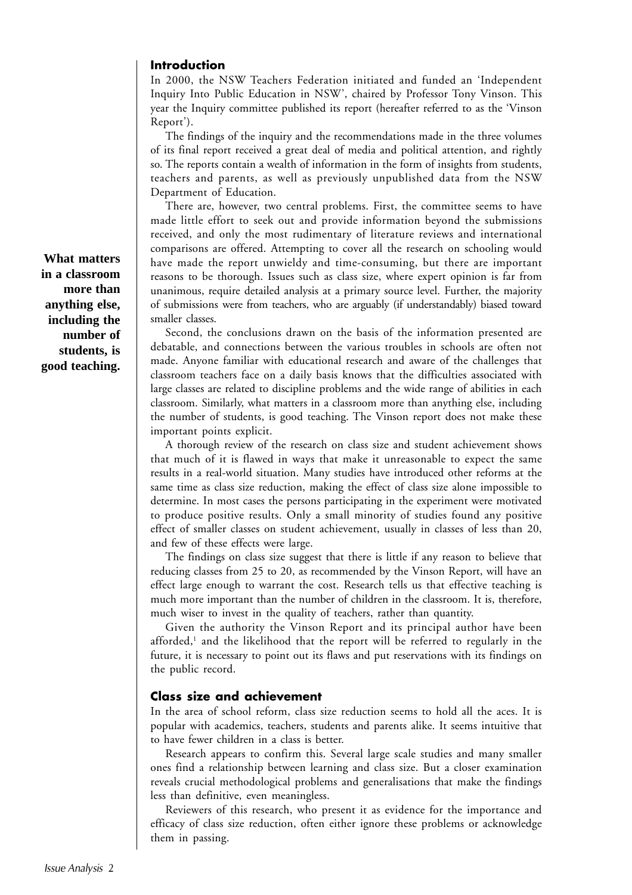# **Introduction**

In 2000, the NSW Teachers Federation initiated and funded an 'Independent Inquiry Into Public Education in NSW', chaired by Professor Tony Vinson. This year the Inquiry committee published its report (hereafter referred to as the 'Vinson Report').

The findings of the inquiry and the recommendations made in the three volumes of its final report received a great deal of media and political attention, and rightly so. The reports contain a wealth of information in the form of insights from students, teachers and parents, as well as previously unpublished data from the NSW Department of Education.

There are, however, two central problems. First, the committee seems to have made little effort to seek out and provide information beyond the submissions received, and only the most rudimentary of literature reviews and international comparisons are offered. Attempting to cover all the research on schooling would have made the report unwieldy and time-consuming, but there are important reasons to be thorough. Issues such as class size, where expert opinion is far from unanimous, require detailed analysis at a primary source level. Further, the majority of submissions were from teachers, who are arguably (if understandably) biased toward smaller classes.

Second, the conclusions drawn on the basis of the information presented are debatable, and connections between the various troubles in schools are often not made. Anyone familiar with educational research and aware of the challenges that classroom teachers face on a daily basis knows that the difficulties associated with large classes are related to discipline problems and the wide range of abilities in each classroom. Similarly, what matters in a classroom more than anything else, including the number of students, is good teaching. The Vinson report does not make these important points explicit.

A thorough review of the research on class size and student achievement shows that much of it is flawed in ways that make it unreasonable to expect the same results in a real-world situation. Many studies have introduced other reforms at the same time as class size reduction, making the effect of class size alone impossible to determine. In most cases the persons participating in the experiment were motivated to produce positive results. Only a small minority of studies found any positive effect of smaller classes on student achievement, usually in classes of less than 20, and few of these effects were large.

The findings on class size suggest that there is little if any reason to believe that reducing classes from 25 to 20, as recommended by the Vinson Report, will have an effect large enough to warrant the cost. Research tells us that effective teaching is much more important than the number of children in the classroom. It is, therefore, much wiser to invest in the quality of teachers, rather than quantity.

Given the authority the Vinson Report and its principal author have been afforded,<sup>1</sup> and the likelihood that the report will be referred to regularly in the future, it is necessary to point out its flaws and put reservations with its findings on the public record.

# **Class size and achievement**

In the area of school reform, class size reduction seems to hold all the aces. It is popular with academics, teachers, students and parents alike. It seems intuitive that to have fewer children in a class is better.

Research appears to confirm this. Several large scale studies and many smaller ones find a relationship between learning and class size. But a closer examination reveals crucial methodological problems and generalisations that make the findings less than definitive, even meaningless.

Reviewers of this research, who present it as evidence for the importance and efficacy of class size reduction, often either ignore these problems or acknowledge them in passing.

**What matters in a classroom more than anything else, including the number of students, is good teaching.**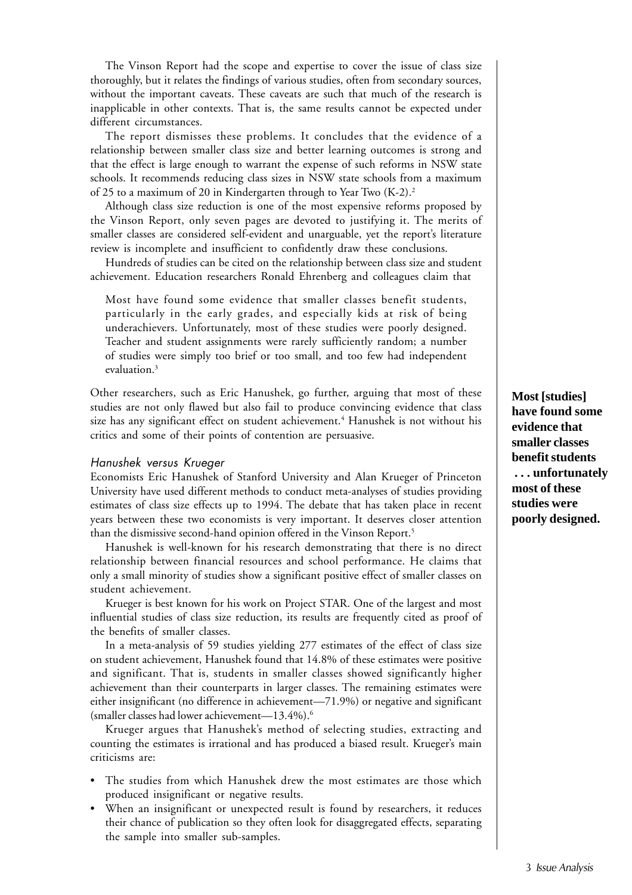The Vinson Report had the scope and expertise to cover the issue of class size thoroughly, but it relates the findings of various studies, often from secondary sources, without the important caveats. These caveats are such that much of the research is inapplicable in other contexts. That is, the same results cannot be expected under different circumstances.

The report dismisses these problems. It concludes that the evidence of a relationship between smaller class size and better learning outcomes is strong and that the effect is large enough to warrant the expense of such reforms in NSW state schools. It recommends reducing class sizes in NSW state schools from a maximum of 25 to a maximum of 20 in Kindergarten through to Year Two (K-2).<sup>2</sup>

Although class size reduction is one of the most expensive reforms proposed by the Vinson Report, only seven pages are devoted to justifying it. The merits of smaller classes are considered self-evident and unarguable, yet the report's literature review is incomplete and insufficient to confidently draw these conclusions.

Hundreds of studies can be cited on the relationship between class size and student achievement. Education researchers Ronald Ehrenberg and colleagues claim that

Most have found some evidence that smaller classes benefit students, particularly in the early grades, and especially kids at risk of being underachievers. Unfortunately, most of these studies were poorly designed. Teacher and student assignments were rarely sufficiently random; a number of studies were simply too brief or too small, and too few had independent evaluation.3

Other researchers, such as Eric Hanushek, go further, arguing that most of these studies are not only flawed but also fail to produce convincing evidence that class size has any significant effect on student achievement.<sup>4</sup> Hanushek is not without his critics and some of their points of contention are persuasive.

#### *Hanushek versus Krueger*

Economists Eric Hanushek of Stanford University and Alan Krueger of Princeton University have used different methods to conduct meta-analyses of studies providing estimates of class size effects up to 1994. The debate that has taken place in recent years between these two economists is very important. It deserves closer attention than the dismissive second-hand opinion offered in the Vinson Report.5

Hanushek is well-known for his research demonstrating that there is no direct relationship between financial resources and school performance. He claims that only a small minority of studies show a significant positive effect of smaller classes on student achievement.

Krueger is best known for his work on Project STAR. One of the largest and most influential studies of class size reduction, its results are frequently cited as proof of the benefits of smaller classes.

In a meta-analysis of 59 studies yielding 277 estimates of the effect of class size on student achievement, Hanushek found that 14.8% of these estimates were positive and significant. That is, students in smaller classes showed significantly higher achievement than their counterparts in larger classes. The remaining estimates were either insignificant (no difference in achievement—71.9%) or negative and significant (smaller classes had lower achievement—13.4%).6

Krueger argues that Hanushek's method of selecting studies, extracting and counting the estimates is irrational and has produced a biased result. Krueger's main criticisms are:

- The studies from which Hanushek drew the most estimates are those which produced insignificant or negative results.
- When an insignificant or unexpected result is found by researchers, it reduces their chance of publication so they often look for disaggregated effects, separating the sample into smaller sub-samples.

**Most [studies] have found some evidence that smaller classes benefit students . . . unfortunately most of these studies were poorly designed.**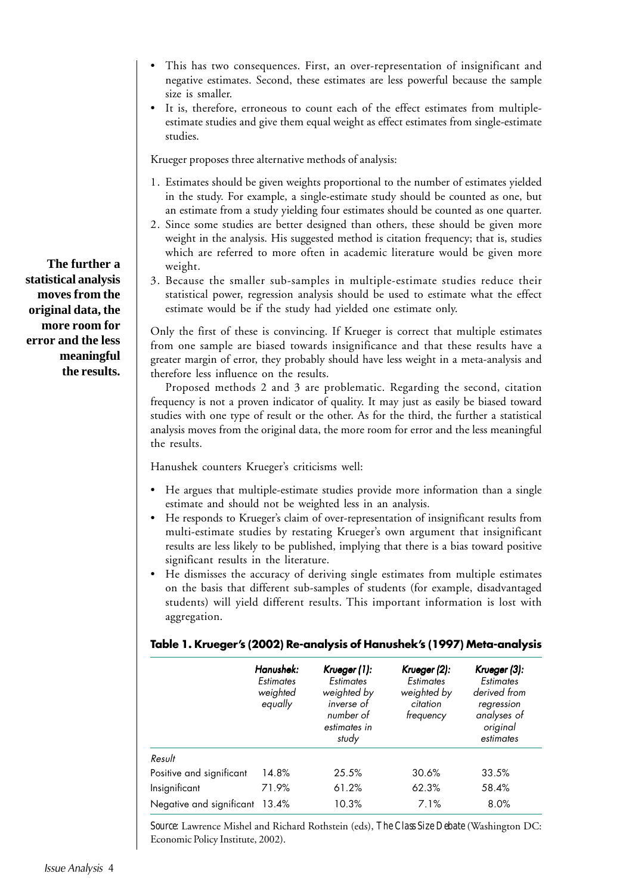- This has two consequences. First, an over-representation of insignificant and negative estimates. Second, these estimates are less powerful because the sample size is smaller.
- It is, therefore, erroneous to count each of the effect estimates from multipleestimate studies and give them equal weight as effect estimates from single-estimate studies.

Krueger proposes three alternative methods of analysis:

- 1. Estimates should be given weights proportional to the number of estimates yielded in the study. For example, a single-estimate study should be counted as one, but an estimate from a study yielding four estimates should be counted as one quarter.
- 2. Since some studies are better designed than others, these should be given more weight in the analysis. His suggested method is citation frequency; that is, studies which are referred to more often in academic literature would be given more weight.
- 3. Because the smaller sub-samples in multiple-estimate studies reduce their statistical power, regression analysis should be used to estimate what the effect estimate would be if the study had yielded one estimate only.

Only the first of these is convincing. If Krueger is correct that multiple estimates from one sample are biased towards insignificance and that these results have a greater margin of error, they probably should have less weight in a meta-analysis and therefore less influence on the results.

Proposed methods 2 and 3 are problematic. Regarding the second, citation frequency is not a proven indicator of quality. It may just as easily be biased toward studies with one type of result or the other. As for the third, the further a statistical analysis moves from the original data, the more room for error and the less meaningful the results.

Hanushek counters Krueger's criticisms well:

- He argues that multiple-estimate studies provide more information than a single estimate and should not be weighted less in an analysis.
- He responds to Krueger's claim of over-representation of insignificant results from multi-estimate studies by restating Krueger's own argument that insignificant results are less likely to be published, implying that there is a bias toward positive significant results in the literature.
- He dismisses the accuracy of deriving single estimates from multiple estimates on the basis that different sub-samples of students (for example, disadvantaged students) will yield different results. This important information is lost with aggregation.

# Table 1. Krueger's (2002) Re-analysis of Hanushek's (1997) Meta-analysis

|                                | Hanushek:<br>Estimates<br>weighted<br>equally | Krueger (1):<br>Estimates<br>weighted by<br>inverse of<br>number of<br>estimates in<br>study | Krueger (2):<br>Estimates<br>weighted by<br>citation<br>frequency | Krueger (3):<br>Estimates<br>derived from<br>regression<br>analyses of<br>original<br>estimates |
|--------------------------------|-----------------------------------------------|----------------------------------------------------------------------------------------------|-------------------------------------------------------------------|-------------------------------------------------------------------------------------------------|
| Result                         |                                               |                                                                                              |                                                                   |                                                                                                 |
| Positive and significant       | 14.8%                                         | 25.5%                                                                                        | 30.6%                                                             | 33.5%                                                                                           |
| Insignificant                  | 71.9%                                         | 61.2%                                                                                        | 62.3%                                                             | 58.4%                                                                                           |
| Negative and significant 13.4% |                                               | 10.3%                                                                                        | 7.1%                                                              | 8.0%                                                                                            |
|                                |                                               |                                                                                              |                                                                   |                                                                                                 |

*Source:* Lawrence Mishel and Richard Rothstein (eds), *The Class Size Debate* (Washington DC: Economic Policy Institute, 2002).

**The further a statistical analysis moves from the original data, the more room for error and the less meaningful the results.**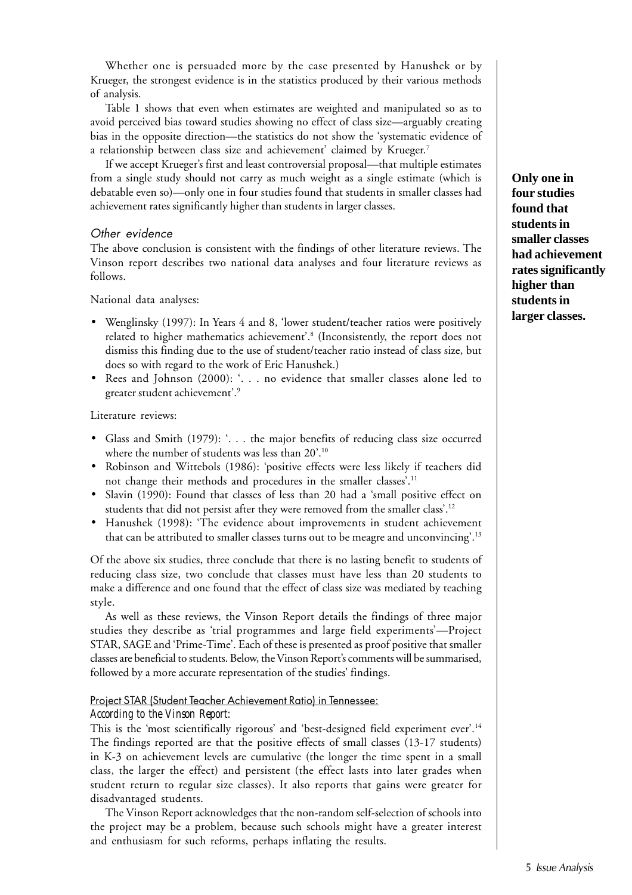Whether one is persuaded more by the case presented by Hanushek or by Krueger, the strongest evidence is in the statistics produced by their various methods of analysis.

Table 1 shows that even when estimates are weighted and manipulated so as to avoid perceived bias toward studies showing no effect of class size—arguably creating bias in the opposite direction—the statistics do not show the 'systematic evidence of a relationship between class size and achievement' claimed by Krueger.7

If we accept Krueger's first and least controversial proposal—that multiple estimates from a single study should not carry as much weight as a single estimate (which is debatable even so)—only one in four studies found that students in smaller classes had achievement rates significantly higher than students in larger classes.

# *Other evidence*

The above conclusion is consistent with the findings of other literature reviews. The Vinson report describes two national data analyses and four literature reviews as follows.

National data analyses:

- Wenglinsky (1997): In Years 4 and 8, 'lower student/teacher ratios were positively related to higher mathematics achievement'.8 (Inconsistently, the report does not dismiss this finding due to the use of student/teacher ratio instead of class size, but does so with regard to the work of Eric Hanushek.)
- Rees and Johnson (2000): '. . . no evidence that smaller classes alone led to greater student achievement'.9

Literature reviews:

- Glass and Smith (1979): '... the major benefits of reducing class size occurred where the number of students was less than 20'.10
- Robinson and Wittebols (1986): 'positive effects were less likely if teachers did not change their methods and procedures in the smaller classes'.11
- Slavin (1990): Found that classes of less than 20 had a 'small positive effect on students that did not persist after they were removed from the smaller class'.<sup>12</sup>
- Hanushek (1998): 'The evidence about improvements in student achievement that can be attributed to smaller classes turns out to be meagre and unconvincing'.13

Of the above six studies, three conclude that there is no lasting benefit to students of reducing class size, two conclude that classes must have less than 20 students to make a difference and one found that the effect of class size was mediated by teaching style.

As well as these reviews, the Vinson Report details the findings of three major studies they describe as 'trial programmes and large field experiments'—Project STAR, SAGE and 'Prime-Time'. Each of these is presented as proof positive that smaller classes are beneficial to students. Below, the Vinson Report's comments will be summarised, followed by a more accurate representation of the studies' findings.

# Project STAR (Student Teacher Achievement Ratio) in Tennessee: *According to the Vinson Report:*

This is the 'most scientifically rigorous' and 'best-designed field experiment ever'.<sup>14</sup> The findings reported are that the positive effects of small classes (13-17 students) in K-3 on achievement levels are cumulative (the longer the time spent in a small class, the larger the effect) and persistent (the effect lasts into later grades when student return to regular size classes). It also reports that gains were greater for disadvantaged students.

The Vinson Report acknowledges that the non-random self-selection of schools into the project may be a problem, because such schools might have a greater interest and enthusiasm for such reforms, perhaps inflating the results.

**Only one in four studies found that students in smaller classes had achievement rates significantly higher than students in larger classes.**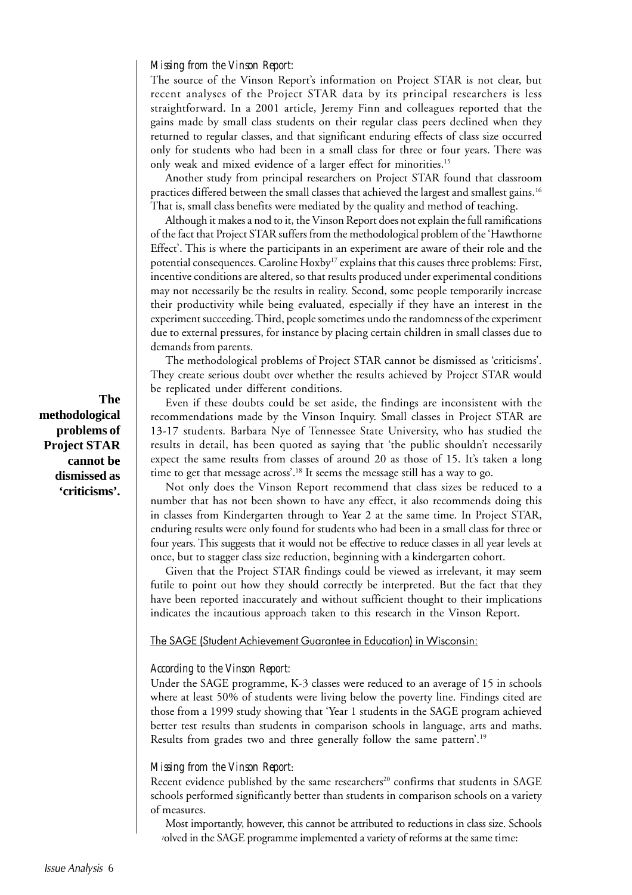#### *Missing from the Vinson Report:*

The source of the Vinson Report's information on Project STAR is not clear, but recent analyses of the Project STAR data by its principal researchers is less straightforward. In a 2001 article, Jeremy Finn and colleagues reported that the gains made by small class students on their regular class peers declined when they returned to regular classes, and that significant enduring effects of class size occurred only for students who had been in a small class for three or four years. There was only weak and mixed evidence of a larger effect for minorities.15

Another study from principal researchers on Project STAR found that classroom practices differed between the small classes that achieved the largest and smallest gains.<sup>16</sup> That is, small class benefits were mediated by the quality and method of teaching.

Although it makes a nod to it, the Vinson Report does not explain the full ramifications of the fact that Project STAR suffers from the methodological problem of the 'Hawthorne Effect'. This is where the participants in an experiment are aware of their role and the potential consequences. Caroline Hoxby<sup>17</sup> explains that this causes three problems: First, incentive conditions are altered, so that results produced under experimental conditions may not necessarily be the results in reality. Second, some people temporarily increase their productivity while being evaluated, especially if they have an interest in the experiment succeeding. Third, people sometimes undo the randomness of the experiment due to external pressures, for instance by placing certain children in small classes due to demands from parents.

The methodological problems of Project STAR cannot be dismissed as 'criticisms'. They create serious doubt over whether the results achieved by Project STAR would be replicated under different conditions.

Even if these doubts could be set aside, the findings are inconsistent with the recommendations made by the Vinson Inquiry. Small classes in Project STAR are 13-17 students. Barbara Nye of Tennessee State University, who has studied the results in detail, has been quoted as saying that 'the public shouldn't necessarily expect the same results from classes of around 20 as those of 15. It's taken a long time to get that message across'.18 It seems the message still has a way to go.

Not only does the Vinson Report recommend that class sizes be reduced to a number that has not been shown to have any effect, it also recommends doing this in classes from Kindergarten through to Year 2 at the same time. In Project STAR, enduring results were only found for students who had been in a small class for three or four years. This suggests that it would not be effective to reduce classes in all year levels at once, but to stagger class size reduction, beginning with a kindergarten cohort.

Given that the Project STAR findings could be viewed as irrelevant, it may seem futile to point out how they should correctly be interpreted. But the fact that they have been reported inaccurately and without sufficient thought to their implications indicates the incautious approach taken to this research in the Vinson Report.

#### The SAGE (Student Achievement Guarantee in Education) in Wisconsin:

#### *According to the Vinson Report:*

Under the SAGE programme, K-3 classes were reduced to an average of 15 in schools where at least 50% of students were living below the poverty line. Findings cited are those from a 1999 study showing that 'Year 1 students in the SAGE program achieved better test results than students in comparison schools in language, arts and maths. Results from grades two and three generally follow the same pattern'.<sup>19</sup>

#### *Missing from the Vinson Report*:

Recent evidence published by the same researchers<sup>20</sup> confirms that students in SAGE schools performed significantly better than students in comparison schools on a variety of measures.

Most importantly, however, this cannot be attributed to reductions in class size. Schools rolved in the SAGE programme implemented a variety of reforms at the same time:

**The methodological problems of Project STAR cannot be dismissed as 'criticisms'.**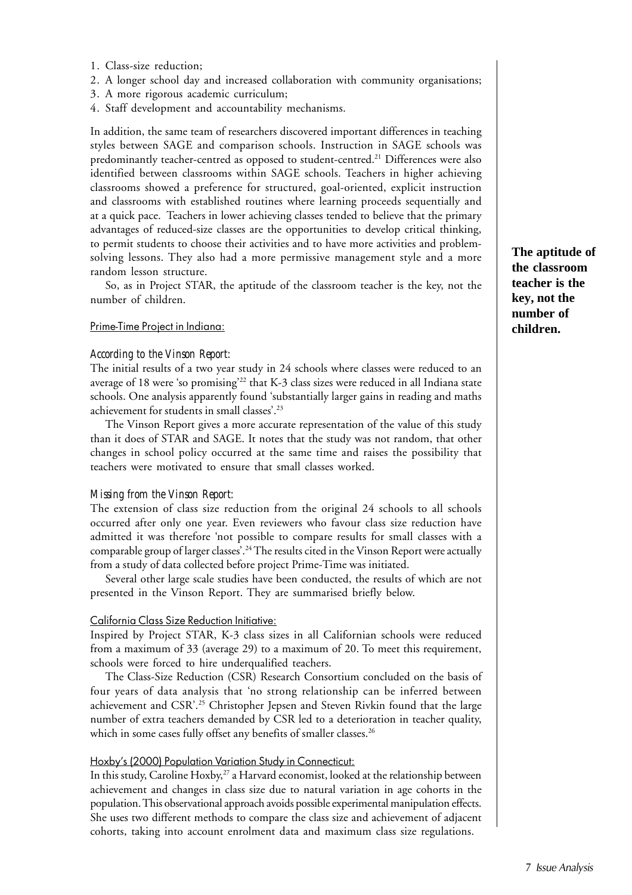- 1. Class-size reduction;
- 2. A longer school day and increased collaboration with community organisations;
- 3. A more rigorous academic curriculum;
- 4. Staff development and accountability mechanisms.

In addition, the same team of researchers discovered important differences in teaching styles between SAGE and comparison schools. Instruction in SAGE schools was predominantly teacher-centred as opposed to student-centred.21 Differences were also identified between classrooms within SAGE schools. Teachers in higher achieving classrooms showed a preference for structured, goal-oriented, explicit instruction and classrooms with established routines where learning proceeds sequentially and at a quick pace. Teachers in lower achieving classes tended to believe that the primary advantages of reduced-size classes are the opportunities to develop critical thinking, to permit students to choose their activities and to have more activities and problemsolving lessons. They also had a more permissive management style and a more random lesson structure.

So, as in Project STAR, the aptitude of the classroom teacher is the key, not the number of children.

#### Prime-Time Project in Indiana:

#### *According to the Vinson Report:*

The initial results of a two year study in 24 schools where classes were reduced to an average of 18 were 'so promising'<sup>22</sup> that K-3 class sizes were reduced in all Indiana state schools. One analysis apparently found 'substantially larger gains in reading and maths achievement for students in small classes'.23

The Vinson Report gives a more accurate representation of the value of this study than it does of STAR and SAGE. It notes that the study was not random, that other changes in school policy occurred at the same time and raises the possibility that teachers were motivated to ensure that small classes worked.

#### *Missing from the Vinson Report:*

The extension of class size reduction from the original 24 schools to all schools occurred after only one year. Even reviewers who favour class size reduction have admitted it was therefore 'not possible to compare results for small classes with a comparable group of larger classes'.<sup>24</sup> The results cited in the Vinson Report were actually from a study of data collected before project Prime-Time was initiated.

Several other large scale studies have been conducted, the results of which are not presented in the Vinson Report. They are summarised briefly below.

#### California Class Size Reduction Initiative:

Inspired by Project STAR, K-3 class sizes in all Californian schools were reduced from a maximum of 33 (average 29) to a maximum of 20. To meet this requirement, schools were forced to hire underqualified teachers.

The Class-Size Reduction (CSR) Research Consortium concluded on the basis of four years of data analysis that 'no strong relationship can be inferred between achievement and CSR'.<sup>25</sup> Christopher Jepsen and Steven Rivkin found that the large number of extra teachers demanded by CSR led to a deterioration in teacher quality, which in some cases fully offset any benefits of smaller classes.<sup>26</sup>

#### Hoxby's (2000) Population Variation Study in Connecticut:

In this study, Caroline Hoxby,<sup>27</sup> a Harvard economist, looked at the relationship between achievement and changes in class size due to natural variation in age cohorts in the population. This observational approach avoids possible experimental manipulation effects. She uses two different methods to compare the class size and achievement of adjacent cohorts, taking into account enrolment data and maximum class size regulations.

**The aptitude of the classroom teacher is the key, not the number of children.**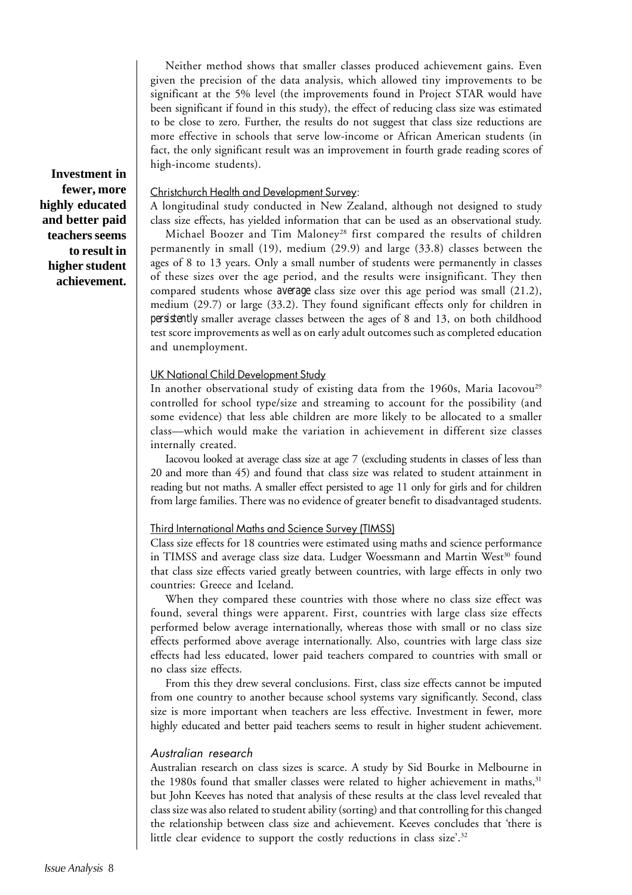Neither method shows that smaller classes produced achievement gains. Even given the precision of the data analysis, which allowed tiny improvements to be significant at the 5% level (the improvements found in Project STAR would have been significant if found in this study), the effect of reducing class size was estimated to be close to zero. Further, the results do not suggest that class size reductions are more effective in schools that serve low-income or African American students (in fact, the only significant result was an improvement in fourth grade reading scores of high-income students).

### Christchurch Health and Development Survey:

A longitudinal study conducted in New Zealand, although not designed to study class size effects, has yielded information that can be used as an observational study.

Michael Boozer and Tim Maloney<sup>28</sup> first compared the results of children permanently in small (19), medium (29.9) and large (33.8) classes between the ages of 8 to 13 years. Only a small number of students were permanently in classes of these sizes over the age period, and the results were insignificant. They then compared students whose *average* class size over this age period was small (21.2), medium (29.7) or large (33.2). They found significant effects only for children in *persistently* smaller average classes between the ages of 8 and 13, on both childhood test score improvements as well as on early adult outcomes such as completed education and unemployment.

#### UK National Child Development Study

In another observational study of existing data from the 1960s, Maria Iacovou<sup>29</sup> controlled for school type/size and streaming to account for the possibility (and some evidence) that less able children are more likely to be allocated to a smaller class—which would make the variation in achievement in different size classes internally created.

Iacovou looked at average class size at age 7 (excluding students in classes of less than 20 and more than 45) and found that class size was related to student attainment in reading but not maths. A smaller effect persisted to age 11 only for girls and for children from large families. There was no evidence of greater benefit to disadvantaged students.

# Third International Maths and Science Survey (TIMSS)

Class size effects for 18 countries were estimated using maths and science performance in TIMSS and average class size data. Ludger Woessmann and Martin West<sup>30</sup> found that class size effects varied greatly between countries, with large effects in only two countries: Greece and Iceland.

When they compared these countries with those where no class size effect was found, several things were apparent. First, countries with large class size effects performed below average internationally, whereas those with small or no class size effects performed above average internationally. Also, countries with large class size effects had less educated, lower paid teachers compared to countries with small or no class size effects.

From this they drew several conclusions. First, class size effects cannot be imputed from one country to another because school systems vary significantly. Second, class size is more important when teachers are less effective. Investment in fewer, more highly educated and better paid teachers seems to result in higher student achievement.

#### *Australian research*

Australian research on class sizes is scarce. A study by Sid Bourke in Melbourne in the 1980s found that smaller classes were related to higher achievement in maths,<sup>31</sup> but John Keeves has noted that analysis of these results at the class level revealed that class size was also related to student ability (sorting) and that controlling for this changed the relationship between class size and achievement. Keeves concludes that 'there is little clear evidence to support the costly reductions in class size'.<sup>32</sup>

**Investment in fewer, more highly educated and better paid teachers seems to result in higher student achievement.**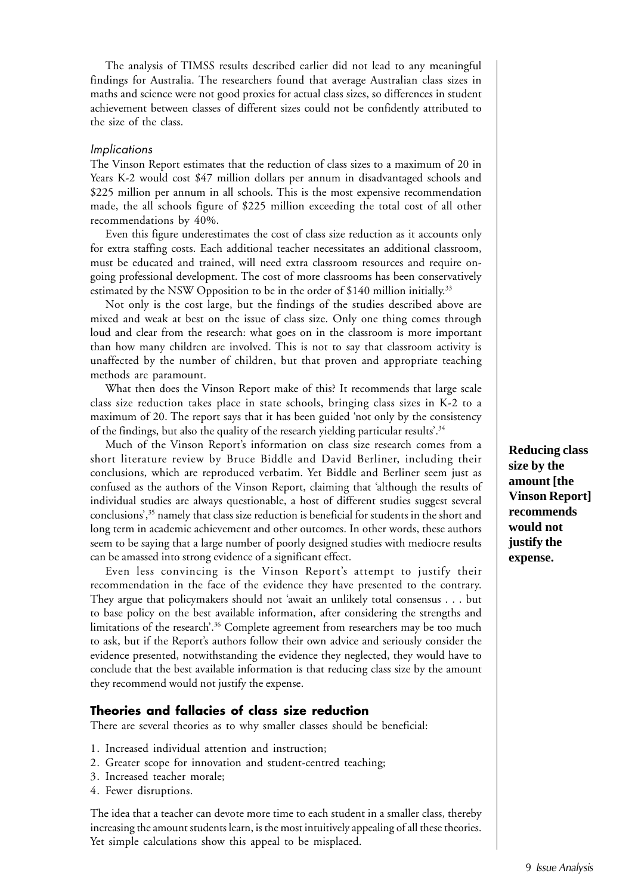The analysis of TIMSS results described earlier did not lead to any meaningful findings for Australia. The researchers found that average Australian class sizes in maths and science were not good proxies for actual class sizes, so differences in student achievement between classes of different sizes could not be confidently attributed to the size of the class.

#### *Implications*

The Vinson Report estimates that the reduction of class sizes to a maximum of 20 in Years K-2 would cost \$47 million dollars per annum in disadvantaged schools and \$225 million per annum in all schools. This is the most expensive recommendation made, the all schools figure of \$225 million exceeding the total cost of all other recommendations by 40%.

Even this figure underestimates the cost of class size reduction as it accounts only for extra staffing costs. Each additional teacher necessitates an additional classroom, must be educated and trained, will need extra classroom resources and require ongoing professional development. The cost of more classrooms has been conservatively estimated by the NSW Opposition to be in the order of \$140 million initially.<sup>33</sup>

Not only is the cost large, but the findings of the studies described above are mixed and weak at best on the issue of class size. Only one thing comes through loud and clear from the research: what goes on in the classroom is more important than how many children are involved. This is not to say that classroom activity is unaffected by the number of children, but that proven and appropriate teaching methods are paramount.

What then does the Vinson Report make of this? It recommends that large scale class size reduction takes place in state schools, bringing class sizes in K-2 to a maximum of 20. The report says that it has been guided 'not only by the consistency of the findings, but also the quality of the research yielding particular results'.<sup>34</sup>

Much of the Vinson Report's information on class size research comes from a short literature review by Bruce Biddle and David Berliner, including their conclusions, which are reproduced verbatim. Yet Biddle and Berliner seem just as confused as the authors of the Vinson Report, claiming that 'although the results of individual studies are always questionable, a host of different studies suggest several conclusions<sup>'</sup>,<sup>35</sup> namely that class size reduction is beneficial for students in the short and long term in academic achievement and other outcomes. In other words, these authors seem to be saying that a large number of poorly designed studies with mediocre results can be amassed into strong evidence of a significant effect.

Even less convincing is the Vinson Report's attempt to justify their recommendation in the face of the evidence they have presented to the contrary. They argue that policymakers should not 'await an unlikely total consensus . . . but to base policy on the best available information, after considering the strengths and limitations of the research'.<sup>36</sup> Complete agreement from researchers may be too much to ask, but if the Report's authors follow their own advice and seriously consider the evidence presented, notwithstanding the evidence they neglected, they would have to conclude that the best available information is that reducing class size by the amount they recommend would not justify the expense.

#### **Theories and fallacies of class size reduction**

There are several theories as to why smaller classes should be beneficial:

- 1. Increased individual attention and instruction;
- 2. Greater scope for innovation and student-centred teaching;
- 3. Increased teacher morale;
- 4. Fewer disruptions.

The idea that a teacher can devote more time to each student in a smaller class, thereby increasing the amount students learn, is the most intuitively appealing of all these theories. Yet simple calculations show this appeal to be misplaced.

**Reducing class size by the amount [the Vinson Report] recommends would not justify the expense.**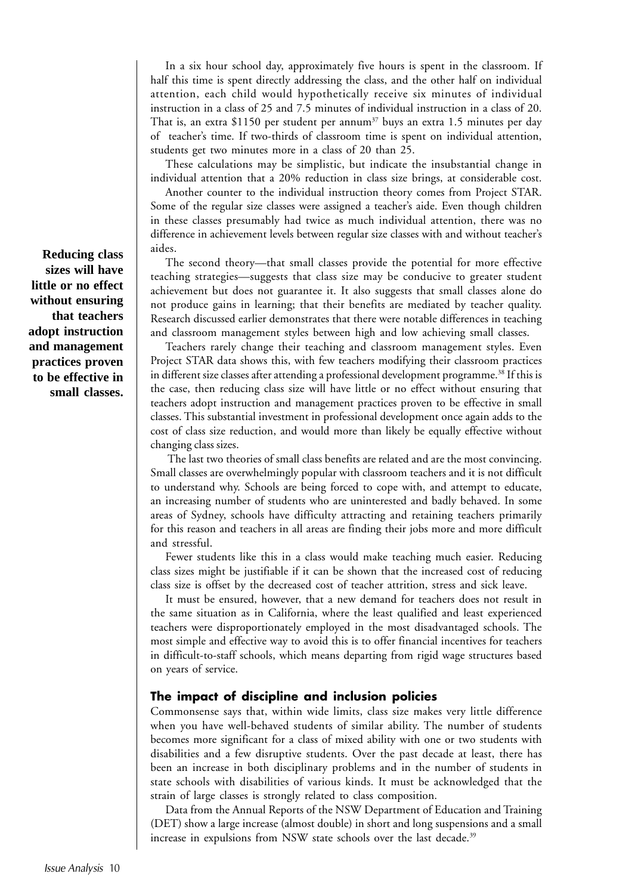In a six hour school day, approximately five hours is spent in the classroom. If half this time is spent directly addressing the class, and the other half on individual attention, each child would hypothetically receive six minutes of individual instruction in a class of 25 and 7.5 minutes of individual instruction in a class of 20. That is, an extra \$1150 per student per annum<sup>37</sup> buys an extra 1.5 minutes per day of teacher's time. If two-thirds of classroom time is spent on individual attention, students get two minutes more in a class of 20 than 25.

These calculations may be simplistic, but indicate the insubstantial change in individual attention that a 20% reduction in class size brings, at considerable cost.

Another counter to the individual instruction theory comes from Project STAR. Some of the regular size classes were assigned a teacher's aide. Even though children in these classes presumably had twice as much individual attention, there was no difference in achievement levels between regular size classes with and without teacher's aides.

The second theory—that small classes provide the potential for more effective teaching strategies—suggests that class size may be conducive to greater student achievement but does not guarantee it. It also suggests that small classes alone do not produce gains in learning; that their benefits are mediated by teacher quality. Research discussed earlier demonstrates that there were notable differences in teaching and classroom management styles between high and low achieving small classes.

Teachers rarely change their teaching and classroom management styles. Even Project STAR data shows this, with few teachers modifying their classroom practices in different size classes after attending a professional development programme.38 If this is the case, then reducing class size will have little or no effect without ensuring that teachers adopt instruction and management practices proven to be effective in small classes. This substantial investment in professional development once again adds to the cost of class size reduction, and would more than likely be equally effective without changing class sizes.

 The last two theories of small class benefits are related and are the most convincing. Small classes are overwhelmingly popular with classroom teachers and it is not difficult to understand why. Schools are being forced to cope with, and attempt to educate, an increasing number of students who are uninterested and badly behaved. In some areas of Sydney, schools have difficulty attracting and retaining teachers primarily for this reason and teachers in all areas are finding their jobs more and more difficult and stressful.

Fewer students like this in a class would make teaching much easier. Reducing class sizes might be justifiable if it can be shown that the increased cost of reducing class size is offset by the decreased cost of teacher attrition, stress and sick leave.

It must be ensured, however, that a new demand for teachers does not result in the same situation as in California, where the least qualified and least experienced teachers were disproportionately employed in the most disadvantaged schools. The most simple and effective way to avoid this is to offer financial incentives for teachers in difficult-to-staff schools, which means departing from rigid wage structures based on years of service.

# **The impact of discipline and inclusion policies**

Commonsense says that, within wide limits, class size makes very little difference when you have well-behaved students of similar ability. The number of students becomes more significant for a class of mixed ability with one or two students with disabilities and a few disruptive students. Over the past decade at least, there has been an increase in both disciplinary problems and in the number of students in state schools with disabilities of various kinds. It must be acknowledged that the strain of large classes is strongly related to class composition.

Data from the Annual Reports of the NSW Department of Education and Training (DET) show a large increase (almost double) in short and long suspensions and a small increase in expulsions from NSW state schools over the last decade.<sup>39</sup>

**Reducing class sizes will have little or no effect without ensuring that teachers adopt instruction and management practices proven to be effective in small classes.**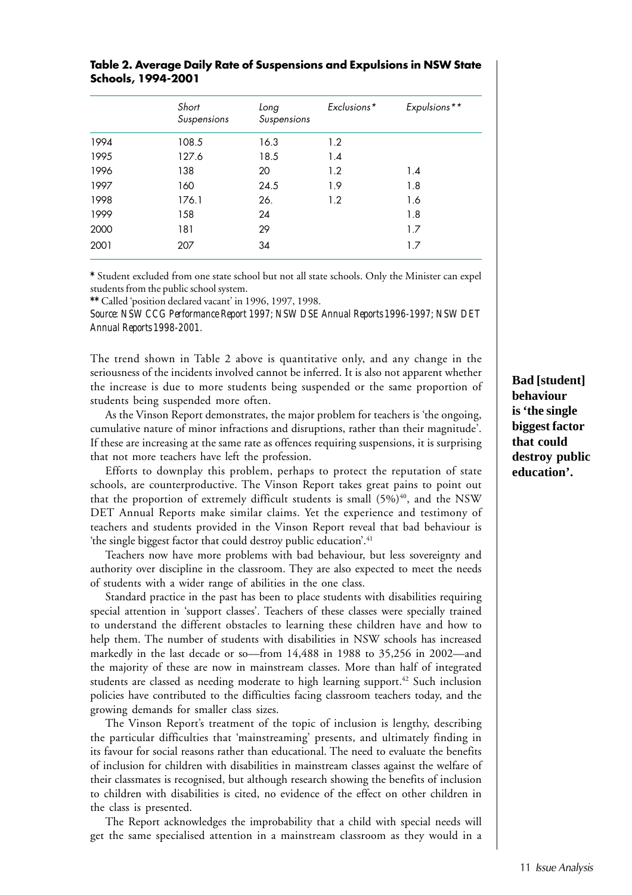|      | Short<br>Suspensions | Long<br>Suspensions | Exclusions* | Expulsions** |
|------|----------------------|---------------------|-------------|--------------|
| 1994 | 108.5                | 16.3                | 1.2         |              |
| 1995 | 127.6                | 18.5                | 1.4         |              |
| 1996 | 138                  | 20                  | 1.2         | 1.4          |
| 1997 | 160                  | 24.5                | 1.9         | 1.8          |
| 1998 | 176.1                | 26.                 | 1.2         | 1.6          |
| 1999 | 158                  | 24                  |             | 1.8          |
| 2000 | 181                  | 29                  |             | 1.7          |
| 2001 | 207                  | 34                  |             | 1.7          |
|      |                      |                     |             |              |

# **Table 2. Average Daily Rate of Suspensions and Expulsions in NSW State Schools, 1994-2001**

**\*** Student excluded from one state school but not all state schools. Only the Minister can expel students from the public school system.

**\*\*** Called 'position declared vacant' in 1996, 1997, 1998.

*Source: NSW CCG Performance Report 1997; NSW DSE Annual Reports 1996-1997; NSW DET Annual Reports 1998-2001.*

The trend shown in Table 2 above is quantitative only, and any change in the seriousness of the incidents involved cannot be inferred. It is also not apparent whether the increase is due to more students being suspended or the same proportion of students being suspended more often.

As the Vinson Report demonstrates, the major problem for teachers is 'the ongoing, cumulative nature of minor infractions and disruptions, rather than their magnitude'. If these are increasing at the same rate as offences requiring suspensions, it is surprising that not more teachers have left the profession.

Efforts to downplay this problem, perhaps to protect the reputation of state schools, are counterproductive. The Vinson Report takes great pains to point out that the proportion of extremely difficult students is small  $(5%)^{40}$ , and the NSW DET Annual Reports make similar claims. Yet the experience and testimony of teachers and students provided in the Vinson Report reveal that bad behaviour is the single biggest factor that could destroy public education'.<sup>41</sup>

Teachers now have more problems with bad behaviour, but less sovereignty and authority over discipline in the classroom. They are also expected to meet the needs of students with a wider range of abilities in the one class.

Standard practice in the past has been to place students with disabilities requiring special attention in 'support classes'. Teachers of these classes were specially trained to understand the different obstacles to learning these children have and how to help them. The number of students with disabilities in NSW schools has increased markedly in the last decade or so—from 14,488 in 1988 to 35,256 in 2002—and the majority of these are now in mainstream classes. More than half of integrated students are classed as needing moderate to high learning support.<sup>42</sup> Such inclusion policies have contributed to the difficulties facing classroom teachers today, and the growing demands for smaller class sizes.

The Vinson Report's treatment of the topic of inclusion is lengthy, describing the particular difficulties that 'mainstreaming' presents, and ultimately finding in its favour for social reasons rather than educational. The need to evaluate the benefits of inclusion for children with disabilities in mainstream classes against the welfare of their classmates is recognised, but although research showing the benefits of inclusion to children with disabilities is cited, no evidence of the effect on other children in the class is presented.

The Report acknowledges the improbability that a child with special needs will get the same specialised attention in a mainstream classroom as they would in a **Bad [student] behaviour is 'the single biggest factor that could destroy public education'.**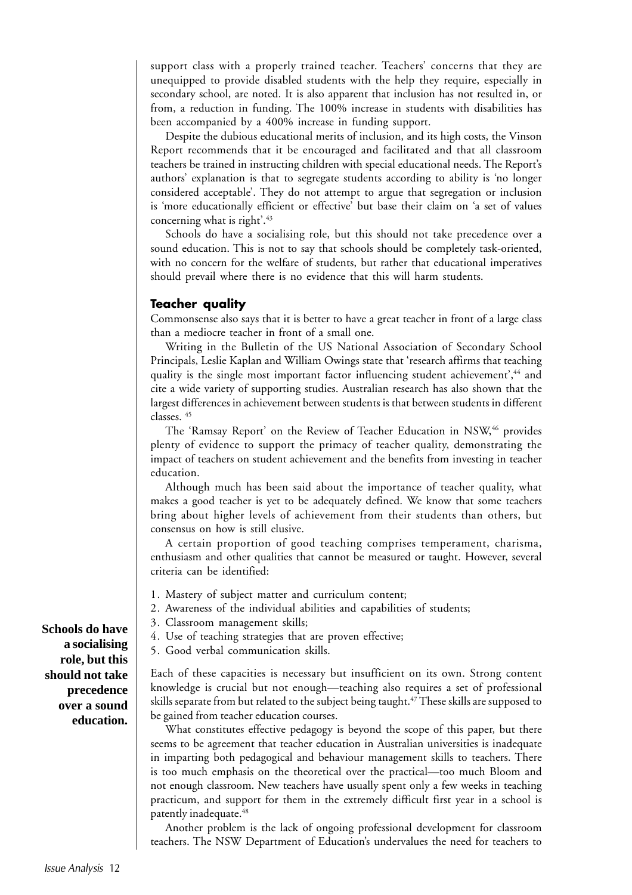support class with a properly trained teacher. Teachers' concerns that they are unequipped to provide disabled students with the help they require, especially in secondary school, are noted. It is also apparent that inclusion has not resulted in, or from, a reduction in funding. The 100% increase in students with disabilities has been accompanied by a 400% increase in funding support.

Despite the dubious educational merits of inclusion, and its high costs, the Vinson Report recommends that it be encouraged and facilitated and that all classroom teachers be trained in instructing children with special educational needs. The Report's authors' explanation is that to segregate students according to ability is 'no longer considered acceptable'. They do not attempt to argue that segregation or inclusion is 'more educationally efficient or effective' but base their claim on 'a set of values concerning what is right'.43

Schools do have a socialising role, but this should not take precedence over a sound education. This is not to say that schools should be completely task-oriented, with no concern for the welfare of students, but rather that educational imperatives should prevail where there is no evidence that this will harm students.

# **Teacher quality**

Commonsense also says that it is better to have a great teacher in front of a large class than a mediocre teacher in front of a small one.

Writing in the Bulletin of the US National Association of Secondary School Principals, Leslie Kaplan and William Owings state that 'research affirms that teaching quality is the single most important factor influencing student achievement',<sup>44</sup> and cite a wide variety of supporting studies. Australian research has also shown that the largest differences in achievement between students is that between students in different classes. 45

The 'Ramsay Report' on the Review of Teacher Education in NSW,<sup>46</sup> provides plenty of evidence to support the primacy of teacher quality, demonstrating the impact of teachers on student achievement and the benefits from investing in teacher education.

Although much has been said about the importance of teacher quality, what makes a good teacher is yet to be adequately defined. We know that some teachers bring about higher levels of achievement from their students than others, but consensus on how is still elusive.

A certain proportion of good teaching comprises temperament, charisma, enthusiasm and other qualities that cannot be measured or taught. However, several criteria can be identified:

- 1. Mastery of subject matter and curriculum content;
- 2. Awareness of the individual abilities and capabilities of students;
- 3. Classroom management skills;
	- 4. Use of teaching strategies that are proven effective;
	- 5. Good verbal communication skills.

Each of these capacities is necessary but insufficient on its own. Strong content knowledge is crucial but not enough—teaching also requires a set of professional skills separate from but related to the subject being taught.<sup>47</sup> These skills are supposed to be gained from teacher education courses.

What constitutes effective pedagogy is beyond the scope of this paper, but there seems to be agreement that teacher education in Australian universities is inadequate in imparting both pedagogical and behaviour management skills to teachers. There is too much emphasis on the theoretical over the practical—too much Bloom and not enough classroom. New teachers have usually spent only a few weeks in teaching practicum, and support for them in the extremely difficult first year in a school is patently inadequate.<sup>48</sup>

Another problem is the lack of ongoing professional development for classroom teachers. The NSW Department of Education's undervalues the need for teachers to

**Schools do have a socialising role, but this should not take precedence over a sound education.**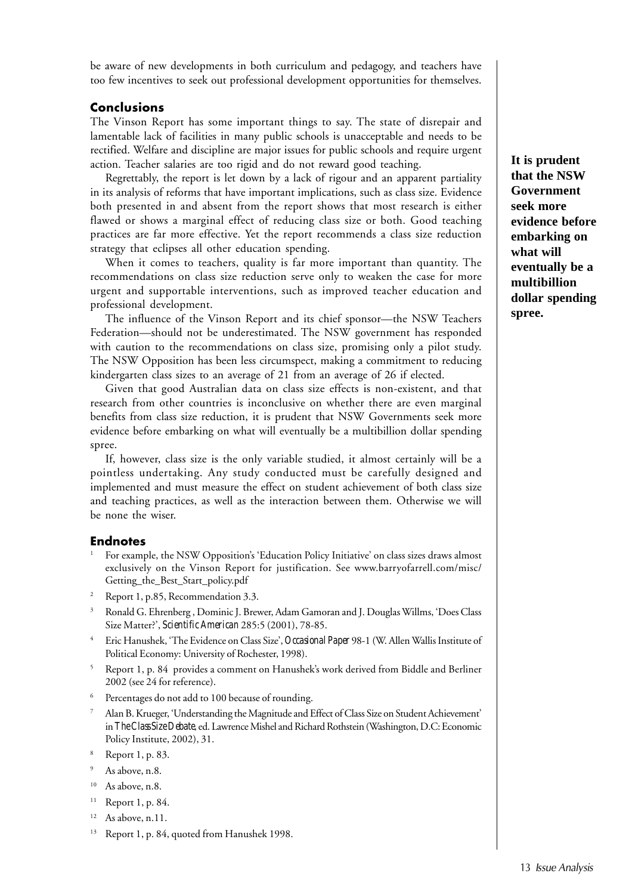be aware of new developments in both curriculum and pedagogy, and teachers have too few incentives to seek out professional development opportunities for themselves.

# **Conclusions**

The Vinson Report has some important things to say. The state of disrepair and lamentable lack of facilities in many public schools is unacceptable and needs to be rectified. Welfare and discipline are major issues for public schools and require urgent action. Teacher salaries are too rigid and do not reward good teaching.

Regrettably, the report is let down by a lack of rigour and an apparent partiality in its analysis of reforms that have important implications, such as class size. Evidence both presented in and absent from the report shows that most research is either flawed or shows a marginal effect of reducing class size or both. Good teaching practices are far more effective. Yet the report recommends a class size reduction strategy that eclipses all other education spending.

When it comes to teachers, quality is far more important than quantity. The recommendations on class size reduction serve only to weaken the case for more urgent and supportable interventions, such as improved teacher education and professional development.

The influence of the Vinson Report and its chief sponsor—the NSW Teachers Federation—should not be underestimated. The NSW government has responded with caution to the recommendations on class size, promising only a pilot study. The NSW Opposition has been less circumspect, making a commitment to reducing kindergarten class sizes to an average of 21 from an average of 26 if elected.

Given that good Australian data on class size effects is non-existent, and that research from other countries is inconclusive on whether there are even marginal benefits from class size reduction, it is prudent that NSW Governments seek more evidence before embarking on what will eventually be a multibillion dollar spending spree.

If, however, class size is the only variable studied, it almost certainly will be a pointless undertaking. Any study conducted must be carefully designed and implemented and must measure the effect on student achievement of both class size and teaching practices, as well as the interaction between them. Otherwise we will be none the wiser.

# **Endnotes**

- <sup>1</sup> For example, the NSW Opposition's 'Education Policy Initiative' on class sizes draws almost exclusively on the Vinson Report for justification. See www.barryofarrell.com/misc/ Getting\_the\_Best\_Start\_policy.pdf
- <sup>2</sup> Report 1, p.85, Recommendation 3.3.
- <sup>3</sup> Ronald G. Ehrenberg , Dominic J. Brewer, Adam Gamoran and J. Douglas Willms, 'Does Class Size Matter?', *Scientific American* 285:5 (2001), 78-85.
- <sup>4</sup> Eric Hanushek, 'The Evidence on Class Size', *Occasional Paper* 98-1 (W. Allen Wallis Institute of Political Economy: University of Rochester, 1998).
- <sup>5</sup> Report 1, p. 84 provides a comment on Hanushek's work derived from Biddle and Berliner 2002 (see 24 for reference).
- <sup>6</sup> Percentages do not add to 100 because of rounding.
- <sup>7</sup> Alan B. Krueger, 'Understanding the Magnitude and Effect of Class Size on Student Achievement' in *The Class Size Debate*, ed. Lawrence Mishel and Richard Rothstein (Washington, D.C: Economic Policy Institute, 2002), 31.
- <sup>8</sup> Report 1, p. 83.
- As above, n.8.
- $10$  As above, n.8.
- <sup>11</sup> Report 1, p. 84.
- $12$  As above, n.11.
- Report 1, p. 84, quoted from Hanushek 1998.

**It is prudent that the NSW Government seek more evidence before embarking on what will eventually be a multibillion dollar spending spree.**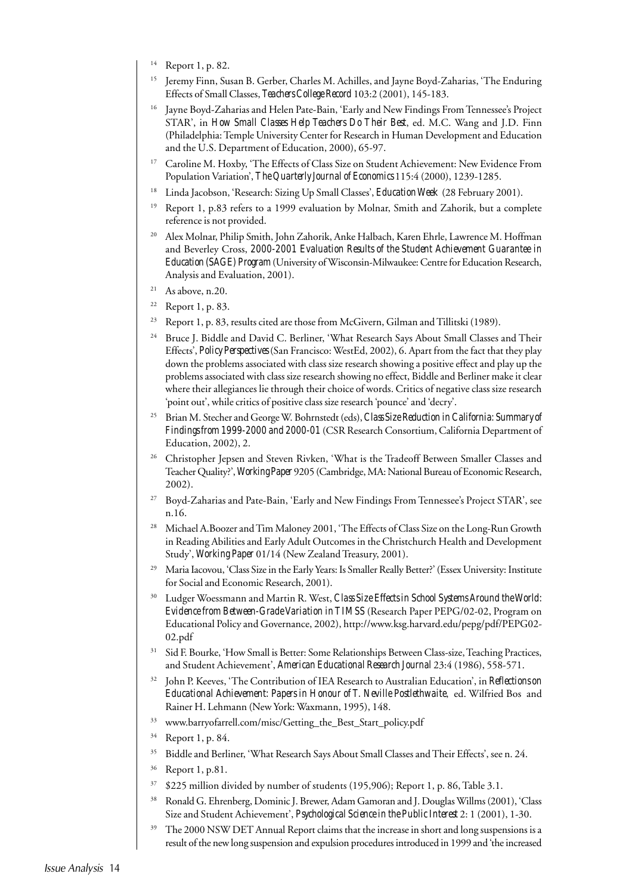- <sup>14</sup> Report 1, p. 82.
- <sup>15</sup> Jeremy Finn, Susan B. Gerber, Charles M. Achilles, and Jayne Boyd-Zaharias, 'The Enduring Effects of Small Classes, *Teachers College Record* 103:2 (2001), 145-183.
- <sup>16</sup> Jayne Boyd-Zaharias and Helen Pate-Bain, 'Early and New Findings From Tennessee's Project STAR', in *How Small Classes Help Teachers Do Their Best*, ed. M.C. Wang and J.D. Finn (Philadelphia: Temple University Center for Research in Human Development and Education and the U.S. Department of Education, 2000), 65-97.
- <sup>17</sup> Caroline M. Hoxby, 'The Effects of Class Size on Student Achievement: New Evidence From Population Variation', *The Quarterly Journal of Economics* 115:4 (2000), 1239-1285.
- <sup>18</sup> Linda Jacobson, 'Research: Sizing Up Small Classes', *Education Week* (28 February 2001).
- <sup>19</sup> Report 1, p.83 refers to a 1999 evaluation by Molnar, Smith and Zahorik, but a complete reference is not provided.
- <sup>20</sup> Alex Molnar, Philip Smith, John Zahorik, Anke Halbach, Karen Ehrle, Lawrence M. Hoffman and Beverley Cross, *2000-2001 Evaluation Results of the Student Achievement Guarantee in Education (SAGE) Program* (University of Wisconsin-Milwaukee: Centre for Education Research, Analysis and Evaluation, 2001).
- $21$  As above, n.20.
- <sup>22</sup> Report 1, p. 83.
- <sup>23</sup> Report 1, p. 83, results cited are those from McGivern, Gilman and Tillitski (1989).
- <sup>24</sup> Bruce J. Biddle and David C. Berliner, 'What Research Says About Small Classes and Their Effects', *Policy Perspectives* (San Francisco: WestEd, 2002), 6. Apart from the fact that they play down the problems associated with class size research showing a positive effect and play up the problems associated with class size research showing no effect, Biddle and Berliner make it clear where their allegiances lie through their choice of words. Critics of negative class size research 'point out', while critics of positive class size research 'pounce' and 'decry'.
- <sup>25</sup> Brian M. Stecher and George W. Bohrnstedt (eds), *Class Size Reduction in California: Summary of Findings from 1999-2000 and 2000-01* (CSR Research Consortium, California Department of Education, 2002), 2.
- <sup>26</sup> Christopher Jepsen and Steven Rivken, 'What is the Tradeoff Between Smaller Classes and Teacher Quality?', *Working Paper* 9205 (Cambridge, MA: National Bureau of Economic Research, 2002).
- <sup>27</sup> Boyd-Zaharias and Pate-Bain, 'Early and New Findings From Tennessee's Project STAR', see n.16.
- <sup>28</sup> Michael A.Boozer and Tim Maloney 2001, 'The Effects of Class Size on the Long-Run Growth in Reading Abilities and Early Adult Outcomes in the Christchurch Health and Development Study', *Working Paper* 01/14 (New Zealand Treasury, 2001).
- <sup>29</sup> Maria Iacovou, 'Class Size in the Early Years: Is Smaller Really Better?' (Essex University: Institute for Social and Economic Research, 2001).
- <sup>30</sup> Ludger Woessmann and Martin R. West, *Class Size Effects in School Systems Around the World: Evidence from Between-Grade Variation in TIMSS* (Research Paper PEPG/02-02, Program on Educational Policy and Governance, 2002), http://www.ksg.harvard.edu/pepg/pdf/PEPG02- 02.pdf
- <sup>31</sup> Sid F. Bourke, 'How Small is Better: Some Relationships Between Class-size, Teaching Practices, and Student Achievement', *American Educational Research Journal* 23:4 (1986), 558-571.
- <sup>32</sup> John P. Keeves, 'The Contribution of IEA Research to Australian Education', in *Reflections on Educational Achievement: Papers in Honour of T. Neville Postlethwaite*, ed. Wilfried Bos and Rainer H. Lehmann (New York: Waxmann, 1995), 148.
- <sup>33</sup> www.barryofarrell.com/misc/Getting\_the\_Best\_Start\_policy.pdf
- <sup>34</sup> Report 1, p. 84.
- <sup>35</sup> Biddle and Berliner, 'What Research Says About Small Classes and Their Effects', see n. 24.
- <sup>36</sup> Report 1, p.81.
- <sup>37</sup> \$225 million divided by number of students (195,906); Report 1, p. 86, Table 3.1.
- <sup>38</sup> Ronald G. Ehrenberg, Dominic J. Brewer, Adam Gamoran and J. Douglas Willms (2001), 'Class Size and Student Achievement', *Psychological Science in the Public Interest* 2: 1 (2001), 1-30.
- The 2000 NSW DET Annual Report claims that the increase in short and long suspensions is a result of the new long suspension and expulsion procedures introduced in 1999 and 'the increased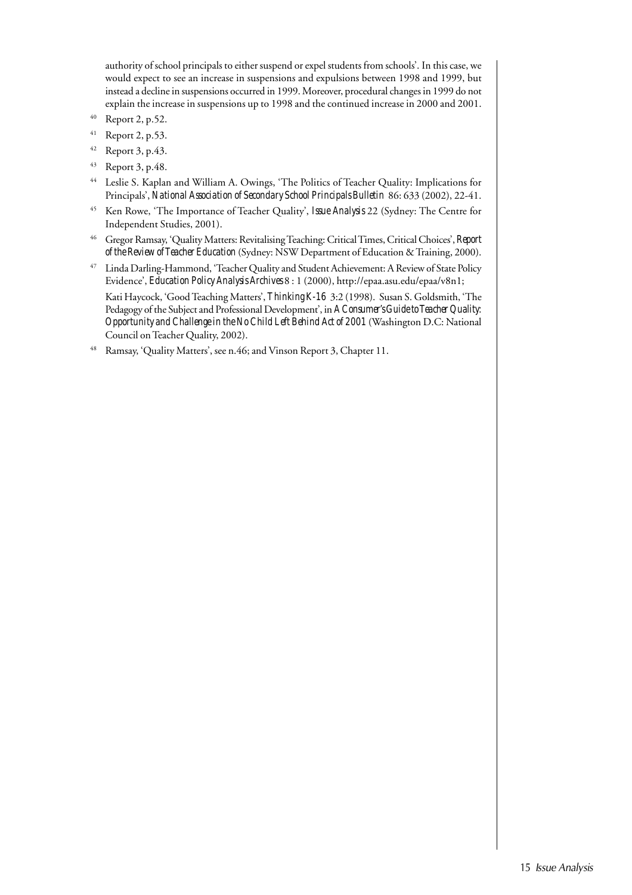authority of school principals to either suspend or expel students from schools'. In this case, we would expect to see an increase in suspensions and expulsions between 1998 and 1999, but instead a decline in suspensions occurred in 1999. Moreover, procedural changes in 1999 do not explain the increase in suspensions up to 1998 and the continued increase in 2000 and 2001.

- <sup>40</sup> Report 2, p.52.
- <sup>41</sup> Report 2, p.53.
- <sup>42</sup> Report 3, p.43.
- <sup>43</sup> Report 3, p.48.
- <sup>44</sup> Leslie S. Kaplan and William A. Owings, 'The Politics of Teacher Quality: Implications for Principals', *National Association of Secondary School Principals Bulletin* 86: 633 (2002), 22-41.
- <sup>45</sup> Ken Rowe, 'The Importance of Teacher Quality', *Issue Analysis* 22 (Sydney: The Centre for Independent Studies, 2001).
- <sup>46</sup> Gregor Ramsay, 'Quality Matters: Revitalising Teaching: Critical Times, Critical Choices', *Report of the Review of Teacher Education* (Sydney: NSW Department of Education & Training, 2000).
- <sup>47</sup> Linda Darling-Hammond, 'Teacher Quality and Student Achievement: A Review of State Policy Evidence', *Education Policy Analysis Archives* 8 : 1 (2000), http://epaa.asu.edu/epaa/v8n1;

Kati Haycock, 'Good Teaching Matters', *Thinking K-16* 3:2 (1998). Susan S. Goldsmith, 'The Pedagogy of the Subject and Professional Development', in *A Consumer's Guide to Teacher Quality: Opportunity and Challenge in the No Child Left Behind Act of 2001* (Washington D.C: National Council on Teacher Quality, 2002).

<sup>48</sup> Ramsay, 'Quality Matters', see n.46; and Vinson Report 3, Chapter 11.